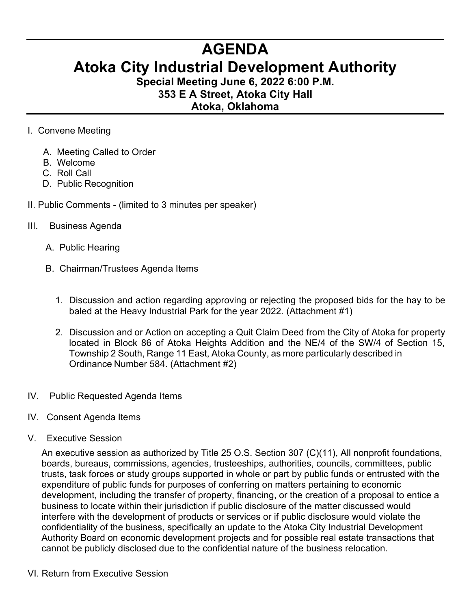## **AGENDA Atoka City Industrial Development Authority**

**Special Meeting June 6, 2022 6:00 P.M. 353 E A Street, Atoka City Hall Atoka, Oklahoma** 

## I. Convene Meeting

- A. Meeting Called to Order
- B. Welcome
- C. Roll Call
- D. Public Recognition
- II. Public Comments (limited to 3 minutes per speaker)

## III. Business Agenda

- A. Public Hearing
- B. Chairman/Trustees Agenda Items
	- 1. Discussion and action regarding approving or rejecting the proposed bids for the hay to be baled at the Heavy Industrial Park for the year 2022. (Attachment #1)
	- 2. Discussion and or Action on accepting a Quit Claim Deed from the City of Atoka for property located in Block 86 of Atoka Heights Addition and the NE/4 of the SW/4 of Section 15, Township 2 South, Range 11 East, Atoka County, as more particularly described in Ordinance Number 584. (Attachment #2)
- IV. Public Requested Agenda Items
- IV. Consent Agenda Items
- V. Executive Session

An executive session as authorized by Title 25 O.S. Section 307 (C)(11), All nonprofit foundations, boards, bureaus, commissions, agencies, trusteeships, authorities, councils, committees, public trusts, task forces or study groups supported in whole or part by public funds or entrusted with the expenditure of public funds for purposes of conferring on matters pertaining to economic development, including the transfer of property, financing, or the creation of a proposal to entice a business to locate within their jurisdiction if public disclosure of the matter discussed would interfere with the development of products or services or if public disclosure would violate the confidentiality of the business, specifically an update to the Atoka City Industrial Development Authority Board on economic development projects and for possible real estate transactions that cannot be publicly disclosed due to the confidential nature of the business relocation.